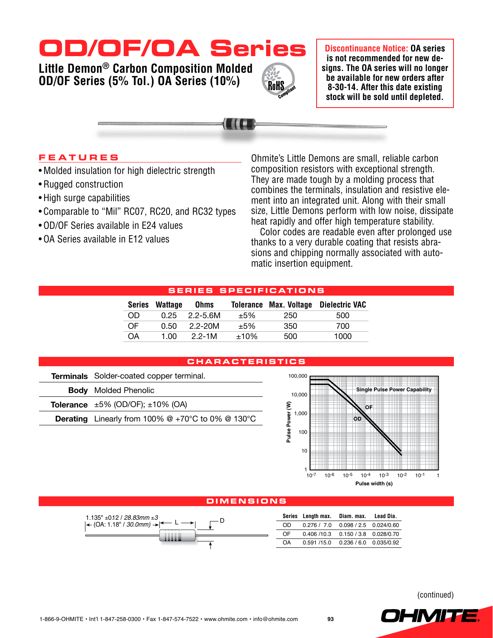# **OD/OF/OA Series**

**Little Demon® Carbon Composition Molded OD/OF Series (5% Tol.) OA Series (10%)**

**Discontinuance Notice: OA series is not recommended for new designs. The OA series will no longer be available for new orders after 8-30-14. After this date existing stock will be sold until depleted.**

**F e a ture s**

- Molded insulation for high dielectric strength
- • Rugged construction
- High surge capabilities
- Comparable to "Mil" RC07, RC20, and RC32 types
- OD/OF Series available in E24 values
- OA Series available in E12 values

Ohmite's Little Demons are small, reliable carbon composition resistors with exceptional strength. They are made tough by a molding process that combines the terminals, insulation and resistive element into an integrated unit. Along with their small size, Little Demons perform with low noise, dissipate heat rapidly and offer high temperature stability.

Color codes are readable even after prolonged use thanks to a very durable coating that resists abrasions and chipping normally associated with automatic insertion equipment.

# **Serie s s peci f i c at i o n s**

RoHS

| <b>Series</b> | Wattage | <b>Ohms</b> |        | <b>Tolerance Max. Voltage</b> | Dielectric VAC |
|---------------|---------|-------------|--------|-------------------------------|----------------|
| OD.           | 0.25    | 2.2-5.6M    | $+5%$  | 250                           | 500            |
| OF            | 0.50    | 2.2-20M     | $+5%$  | 350                           | 700            |
| OΑ            | 1.00    | $22-1M$     | $+10%$ | 500                           | 1000           |

## **C h a r a cteri s tic s**

| Terminals Solder-coated copper terminal.                             |  |  |  |  |
|----------------------------------------------------------------------|--|--|--|--|
| <b>Body</b> Molded Phenolic                                          |  |  |  |  |
| <b>Tolerance</b> $\pm 5\%$ (OD/OF); $\pm 10\%$ (OA)                  |  |  |  |  |
| <b>Derating</b> Linearly from 100% $@ + 70^{\circ}C$ to 0% $@$ 130°C |  |  |  |  |
|                                                                      |  |  |  |  |



### **Dimen s i o n s**



(continued)

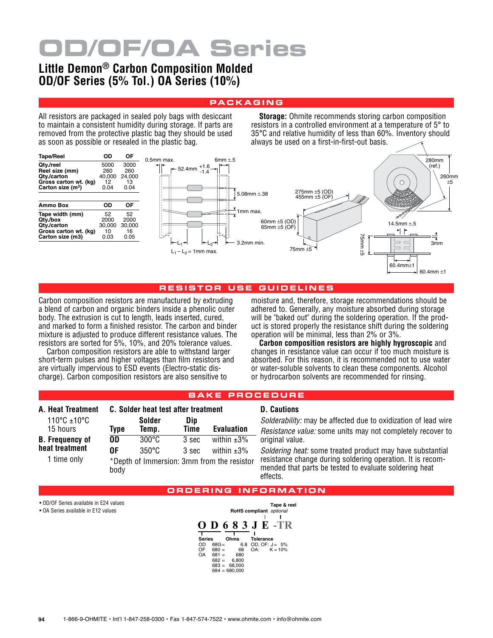# **OD/OF/OA Series**

# **Little Demon® Carbon Composition Molded OD/OF Series (5% Tol.) OA Series (10%)**

## **pa c k a ging**

All resistors are packaged in sealed poly bags with desiccant to maintain a consistent humidity during storage. If parts are removed from the protective plastic bag they should be used as soon as possible or resealed in the plastic bag.

**Storage:** Ohmite recommends storing carbon composition resistors in a controlled environment at a temperature of 5° to 35°C and relative humidity of less than 60%. Inventory should always be used on a first-in-first-out basis.



#### **r e s i s t o r u s e gui d eline s**

Carbon composition resistors are manufactured by extruding a blend of carbon and organic binders inside a phenolic outer body. The extrusion is cut to length, leads inserted, cured, and marked to form a finished resistor. The carbon and binder mixture is adjusted to produce different resistance values. The resistors are sorted for 5%, 10%, and 20% tolerance values.

Carbon composition resistors are able to withstand larger short-term pulses and higher voltages than film resistors and are virtually impervious to ESD events (Electro-static discharge). Carbon composition resistors are also sensitive to

moisture and, therefore, storage recommendations should be adhered to. Generally, any moisture absorbed during storage will be "baked out" during the soldering operation. If the product is stored properly the resistance shift during the soldering operation will be minimal, less than 2% or 3%.

**Carbon composition resistors are highly hygroscopic** and changes in resistance value can occur if too much moisture is absorbed. For this reason, it is recommended not to use water or water-soluble solvents to clean these components. Alcohol or hydrocarbon solvents are recommended for rinsing.

### **b a ke pr o c e d ure**

| A. Heat Treatment                                       | C. Solder heat test after treatment |                                    |                |                                                                                    |  |
|---------------------------------------------------------|-------------------------------------|------------------------------------|----------------|------------------------------------------------------------------------------------|--|
| 110°C ±10°C<br>15 hours                                 | <b>Type</b>                         | Solder<br>Temp.                    | Dip<br>Time    | <b>Evaluation</b>                                                                  |  |
| <b>B.</b> Frequency of<br>heat treatment<br>1 time only | 0D<br>0F<br>body                    | $300^{\circ}$ C<br>$350^{\circ}$ C | 3 sec<br>3 sec | within $\pm 3\%$<br>within $\pm 3\%$<br>*Depth of Immersion: 3mm from the resistor |  |

#### **D. Cautions**

*Solderability:* may be affected due to oxidization of lead wire *Resistance value:* some units may not completely recover to original value.

*Soldering heat:* some treated product may have substantial resistance change during soldering operation. It is recommended that parts be tested to evaluate soldering heat effects.

#### **O R D ERING IN F O RMATI O N**

• OD/OF Series available in E24 values

• OA Series available in E12 values